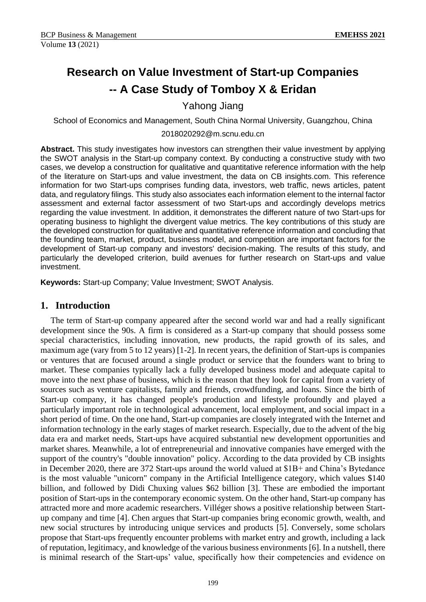# **Research on Value Investment of Start-up Companies -- A Case Study of Tomboy X & Eridan**

Yahong Jiang

School of Economics and Management, South China Normal University, Guangzhou, China

#### 2018020292@m.scnu.edu.cn

**Abstract.** This study investigates how investors can strengthen their value investment by applying the SWOT analysis in the Start-up company context. By conducting a constructive study with two cases, we develop a construction for qualitative and quantitative reference information with the help of the literature on Start-ups and value investment, the data on CB insights.com. This reference information for two Start-ups comprises funding data, investors, web traffic, news articles, patent data, and regulatory filings. This study also associates each information element to the internal factor assessment and external factor assessment of two Start-ups and accordingly develops metrics regarding the value investment. In addition, it demonstrates the different nature of two Start-ups for operating business to highlight the divergent value metrics. The key contributions of this study are the developed construction for qualitative and quantitative reference information and concluding that the founding team, market, product, business model, and competition are important factors for the development of Start-up company and investors' decision-making. The results of this study, and particularly the developed criterion, build avenues for further research on Start-ups and value investment.

**Keywords:** Start-up Company; Value Investment; SWOT Analysis.

# **1. Introduction**

The term of Start-up company appeared after the second world war and had a really significant development since the 90s. A firm is considered as a Start-up company that should possess some special characteristics, including innovation, new products, the rapid growth of its sales, and maximum age (vary from 5 to 12 years) [1-2]. In recent years, the definition of Start-ups is companies or ventures that are focused around a single product or service that the founders want to bring to market. These companies typically lack a fully developed business model and adequate capital to move into the next phase of business, which is the reason that they look for capital from a variety of sources such as venture capitalists, family and friends, crowdfunding, and loans. Since the birth of Start-up company, it has changed people's production and lifestyle profoundly and played a particularly important role in technological advancement, local employment, and social impact in a short period of time. On the one hand, Start-up companies are closely integrated with the Internet and information technology in the early stages of market research. Especially, due to the advent of the big data era and market needs, Start-ups have acquired substantial new development opportunities and market shares. Meanwhile, a lot of entrepreneurial and innovative companies have emerged with the support of the country's "double innovation" policy. According to the data provided by CB insights in December 2020, there are 372 Start-ups around the world valued at \$1B+ and China's Bytedance is the most valuable "unicorn" company in the Artificial Intelligence category, which values \$140 billion, and followed by Didi Chuxing values \$62 billion [3]. These are embodied the important position of Start-ups in the contemporary economic system. On the other hand, Start-up company has attracted more and more academic researchers. Villéger shows a positive relationship between Startup company and time [4]. Chen argues that Start-up companies bring economic growth, wealth, and new social structures by introducing unique services and products [5]. Conversely, some scholars propose that Start-ups frequently encounter problems with market entry and growth, including a lack of reputation, legitimacy, and knowledge of the various business environments [6]. In a nutshell, there is minimal research of the Start-ups' value, specifically how their competencies and evidence on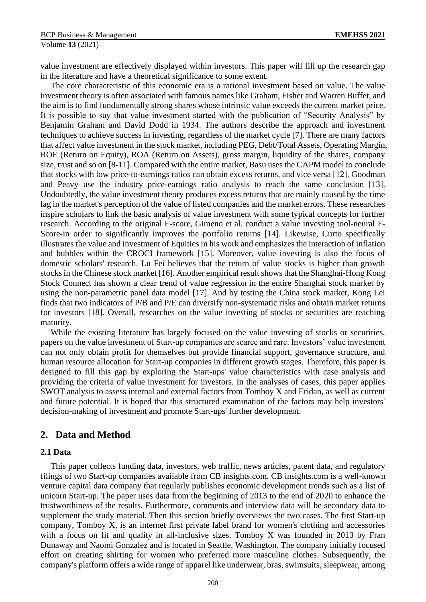value investment are effectively displayed within investors. This paper will fill up the research gap in the literature and have a theoretical significance to some extent.

The core characteristic of this economic era is a rational investment based on value. The value investment theory is often associated with famous names like Graham, Fisher and Warren Buffet, and the aim is to find fundamentally strong shares whose intrinsic value exceeds the current market price. It is possible to say that value investment started with the publication of "Security Analysis" by Benjamin Graham and David Dodd in 1934. The authors describe the approach and investment techniques to achieve success in investing, regardless of the market cycle [7]. There are many factors that affect value investment in the stock market, including PEG, Debt/Total Assets, Operating Margin, ROE (Return on Equity), ROA (Return on Assets), gross margin, liquidity of the shares, company size, trust and so on [8-11]. Compared with the entire market, Basu uses the CAPM model to conclude that stocks with low price-to-earnings ratios can obtain excess returns, and vice versa [12]. Goodman and Peavy use the industry price-earnings ratio analysis to reach the same conclusion [13]. Undoubtedly, the value investment theory produces excess returns that are mainly caused by the time lag in the market's perception of the value of listed companies and the market errors. These researches inspire scholars to link the basic analysis of value investment with some typical concepts for further research. According to the original F-score, Gimeno et al. conduct a value investing tool-neural F-Score-in order to significantly improves the portfolio returns [14]. Likewise, Curto specifically illustrates the value and investment of Equities in his work and emphasizes the interaction of inflation and bubbles within the CROCI framework [15]. Moreover, value investing is also the focus of domestic scholars' research. Lu Fei believes that the return of value stocks is higher than growth stocks in the Chinese stock market [16]. Another empirical result shows that the Shanghai-Hong Kong Stock Connect has shown a clear trend of value regression in the entire Shanghai stock market by using the non-parametric panel data model [17]. And by testing the China stock market, Kong Lei finds that two indicators of P/B and P/E can diversify non-systematic risks and obtain market returns for investors [18]. Overall, researches on the value investing of stocks or securities are reaching maturity.

While the existing literature has largely focused on the value investing of stocks or securities, papers on the value investment of Start-up companies are scarce and rare. Investors' value investment can not only obtain profit for themselves but provide financial support, governance structure, and human resource allocation for Start-up companies in different growth stages. Therefore, this paper is designed to fill this gap by exploring the Start-ups' value characteristics with case analysis and providing the criteria of value investment for investors. In the analyses of cases, this paper applies SWOT analysis to assess internal and external factors from Tomboy X and Eridan, as well as current and future potential. It is hoped that this structured examination of the factors may help investors' decision-making of investment and promote Start-ups' further development.

# **2. Data and Method**

### **2.1 Data**

This paper collects funding data, investors, web traffic, news articles, patent data, and regulatory filings of two Start-up companies available from CB insights.com. CB insights.com is a well-known venture capital data company that regularly publishes economic development trends such as a list of unicorn Start-up. The paper uses data from the beginning of 2013 to the end of 2020 to enhance the trustworthiness of the results. Furthermore, comments and interview data will be secondary data to supplement the study material. Then this section briefly overviews the two cases. The first Start-up company, Tomboy X, is an internet first private label brand for women's clothing and accessories with a focus on fit and quality in all-inclusive sizes. Tomboy X was founded in 2013 by Fran Dunaway and Naomi Gonzalez and is located in Seattle, Washington. The company initially focused effort on creating shirting for women who preferred more masculine clothes. Subsequently, the company's platform offers a wide range of apparel like underwear, bras, swimsuits, sleepwear, among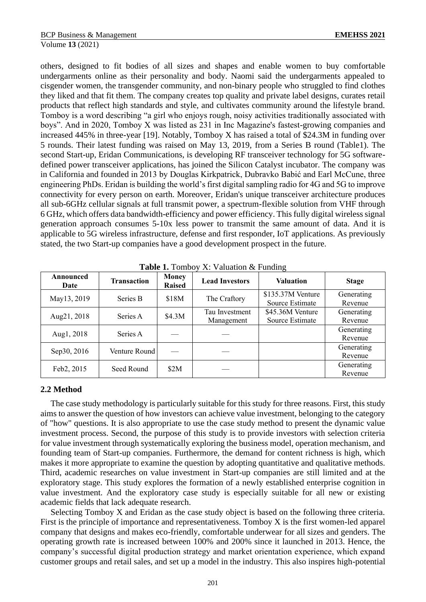others, designed to fit bodies of all sizes and shapes and enable women to buy comfortable undergarments online as their personality and body. Naomi said the undergarments appealed to cisgender women, the transgender community, and non-binary people who struggled to find clothes they liked and that fit them. The company creates top quality and private label designs, curates retail products that reflect high standards and style, and cultivates community around the lifestyle brand. Tomboy is a word describing "a girl who enjoys rough, noisy activities traditionally associated with boys". And in 2020, Tomboy X was listed as 231 in Inc Magazine's fastest-growing companies and increased 445% in three-year [19]. Notably, Tomboy X has raised a total of \$24.3M in funding over 5 rounds. Their latest funding was raised on May 13, 2019, from a Series B round (Table1). The second Start-up, Eridan Communications, is developing RF transceiver technology for 5G softwaredefined power transceiver applications, has joined the Silicon Catalyst incubator. The company was in California and founded in 2013 by Douglas Kirkpatrick, Dubravko Babić and Earl McCune, three engineering PhDs. Eridan is building the world's first digital sampling radio for 4G and 5G to improve connectivity for every person on earth. Moreover, Eridan's unique transceiver architecture produces all sub-6GHz cellular signals at full transmit power, a spectrum-flexible solution from VHF through 6 GHz, which offers data bandwidth-efficiency and power efficiency. This fully digital wireless signal generation approach consumes 5-10x less power to transmit the same amount of data. And it is applicable to 5G wireless infrastructure, defense and first responder, IoT applications. As previously stated, the two Start-up companies have a good development prospect in the future.

| Announced<br>Date | <b>Transaction</b> | <b>Money</b><br><b>Raised</b> | <b>Lead Investors</b>        | <b>Valuation</b>                     | <b>Stage</b>          |
|-------------------|--------------------|-------------------------------|------------------------------|--------------------------------------|-----------------------|
| May13, 2019       | Series B           | \$18M                         | The Craftory                 | \$135.37M Venture<br>Source Estimate | Generating<br>Revenue |
| Aug21, 2018       | Series A           | \$4.3M                        | Tau Investment<br>Management | \$45.36M Venture<br>Source Estimate  | Generating<br>Revenue |
| Aug1, 2018        | Series A           |                               |                              |                                      | Generating<br>Revenue |
| Sep30, 2016       | Venture Round      |                               |                              |                                      | Generating<br>Revenue |
| Feb2, 2015        | Seed Round         | \$2M                          |                              |                                      | Generating<br>Revenue |

**Table 1.** Tomboy X: Valuation & Funding

### **2.2 Method**

The case study methodology is particularly suitable for this study for three reasons. First, this study aims to answer the question of how investors can achieve value investment, belonging to the category of "how" questions. It is also appropriate to use the case study method to present the dynamic value investment process. Second, the purpose of this study is to provide investors with selection criteria for value investment through systematically exploring the business model, operation mechanism, and founding team of Start-up companies. Furthermore, the demand for content richness is high, which makes it more appropriate to examine the question by adopting quantitative and qualitative methods. Third, academic researches on value investment in Start-up companies are still limited and at the exploratory stage. This study explores the formation of a newly established enterprise cognition in value investment. And the exploratory case study is especially suitable for all new or existing academic fields that lack adequate research.

Selecting Tomboy X and Eridan as the case study object is based on the following three criteria. First is the principle of importance and representativeness. Tomboy X is the first women-led apparel company that designs and makes eco-friendly, comfortable underwear for all sizes and genders. The operating growth rate is increased between 100% and 200% since it launched in 2013. Hence, the company's successful digital production strategy and market orientation experience, which expand customer groups and retail sales, and set up a model in the industry. This also inspires high-potential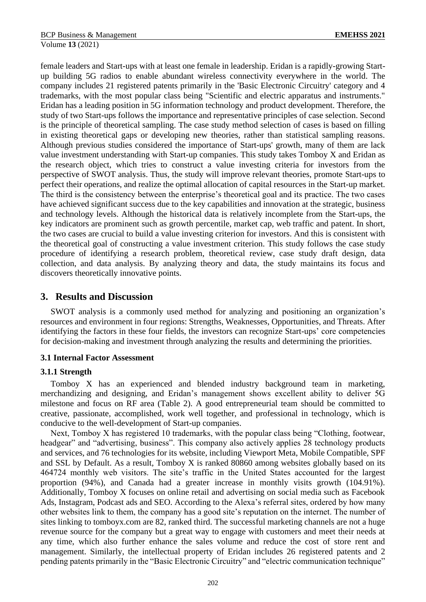female leaders and Start-ups with at least one female in leadership. Eridan is a rapidly-growing Startup building 5G radios to enable abundant wireless connectivity everywhere in the world. The company includes 21 registered patents primarily in the 'Basic Electronic Circuitry' category and 4 trademarks, with the most popular class being "Scientific and electric apparatus and instruments." Eridan has a leading position in 5G information technology and product development. Therefore, the study of two Start-ups follows the importance and representative principles of case selection. Second is the principle of theoretical sampling. The case study method selection of cases is based on filling in existing theoretical gaps or developing new theories, rather than statistical sampling reasons. Although previous studies considered the importance of Start-ups' growth, many of them are lack value investment understanding with Start-up companies. This study takes Tomboy X and Eridan as the research object, which tries to construct a value investing criteria for investors from the perspective of SWOT analysis. Thus, the study will improve relevant theories, promote Start-ups to perfect their operations, and realize the optimal allocation of capital resources in the Start-up market. The third is the consistency between the enterprise's theoretical goal and its practice. The two cases have achieved significant success due to the key capabilities and innovation at the strategic, business and technology levels. Although the historical data is relatively incomplete from the Start-ups, the key indicators are prominent such as growth percentile, market cap, web traffic and patent. In short, the two cases are crucial to build a value investing criterion for investors. And this is consistent with the theoretical goal of constructing a value investment criterion. This study follows the case study procedure of identifying a research problem, theoretical review, case study draft design, data collection, and data analysis. By analyzing theory and data, the study maintains its focus and discovers theoretically innovative points.

## **3. Results and Discussion**

SWOT analysis is a commonly used method for analyzing and positioning an organization's resources and environment in four regions: Strengths, Weaknesses, Opportunities, and Threats. After identifying the factors in these four fields, the investors can recognize Start-ups' core competencies for decision-making and investment through analyzing the results and determining the priorities.

### **3.1 Internal Factor Assessment**

### **3.1.1 Strength**

Tomboy X has an experienced and blended industry background team in marketing, merchandizing and designing, and Eridan's management shows excellent ability to deliver 5G milestone and focus on RF area (Table 2). A good entrepreneurial team should be committed to creative, passionate, accomplished, work well together, and professional in technology, which is conducive to the well-development of Start-up companies.

Next, Tomboy X has registered 10 trademarks, with the popular class being "Clothing, footwear, headgear" and "advertising, business". This company also actively applies 28 technology products and services, and 76 technologies for its website, including Viewport Meta, Mobile Compatible, SPF and SSL by Default. As a result, Tomboy X is ranked 80860 among websites globally based on its 464724 monthly web visitors. The site's traffic in the United States accounted for the largest proportion (94%), and Canada had a greater increase in monthly visits growth (104.91%). Additionally, Tomboy X focuses on online retail and advertising on social media such as Facebook Ads, Instagram, Podcast ads and SEO. According to the Alexa's referral sites, ordered by how many other websites link to them, the company has a good site's reputation on the internet. The number of sites linking to tomboyx.com are 82, ranked third. The successful marketing channels are not a huge revenue source for the company but a great way to engage with customers and meet their needs at any time, which also further enhance the sales volume and reduce the cost of store rent and management. Similarly, the intellectual property of Eridan includes 26 registered patents and 2 pending patents primarily in the "Basic Electronic Circuitry" and "electric communication technique"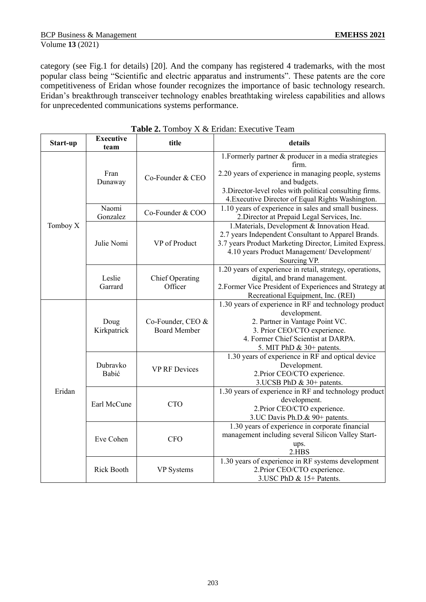category (see Fig.1 for details) [20]. And the company has registered 4 trademarks, with the most popular class being "Scientific and electric apparatus and instruments". These patents are the core competitiveness of Eridan whose founder recognizes the importance of basic technology research. Eridan's breakthrough transceiver technology enables breathtaking wireless capabilities and allows for unprecedented communications systems performance.

| Start-up | <b>Executive</b><br>team | title                                    | details                                                                                                                                                                                                                                                |  |
|----------|--------------------------|------------------------------------------|--------------------------------------------------------------------------------------------------------------------------------------------------------------------------------------------------------------------------------------------------------|--|
| Tomboy X | Fran<br>Dunaway          | Co-Founder & CEO                         | 1. Formerly partner & producer in a media strategies<br>firm.<br>2.20 years of experience in managing people, systems<br>and budgets.<br>3. Director-level roles with political consulting firms.<br>4. Executive Director of Equal Rights Washington. |  |
|          | Naomi<br>Gonzalez        | Co-Founder & COO                         | 1.10 years of experience in sales and small business.<br>2. Director at Prepaid Legal Services, Inc.                                                                                                                                                   |  |
|          | Julie Nomi               | VP of Product                            | 1. Materials, Development & Innovation Head.<br>2.7 years Independent Consultant to Apparel Brands.<br>3.7 years Product Marketing Director, Limited Express.<br>4.10 years Product Management/ Development/<br>Sourcing VP.                           |  |
|          | Leslie<br>Garrard        | Chief Operating<br>Officer               | 1.20 years of experience in retail, strategy, operations,<br>digital, and brand management.<br>2. Former Vice President of Experiences and Strategy at<br>Recreational Equipment, Inc. (REI)                                                           |  |
| Eridan   | Doug<br>Kirkpatrick      | Co-Founder, CEO &<br><b>Board Member</b> | 1.30 years of experience in RF and technology product<br>development.<br>2. Partner in Vantage Point VC.<br>3. Prior CEO/CTO experience.<br>4. Former Chief Scientist at DARPA.<br>5. MIT PhD & 30+ patents.                                           |  |
|          | Dubravko<br>Babić        | <b>VP RF Devices</b>                     | 1.30 years of experience in RF and optical device<br>Development.<br>2.Prior CEO/CTO experience.<br>3. UCSB PhD $\&$ 30+ patents.                                                                                                                      |  |
|          | Earl McCune              | <b>CTO</b>                               | 1.30 years of experience in RF and technology product<br>development.<br>2. Prior CEO/CTO experience.<br>3.UC Davis Ph.D.& 90+ patents.                                                                                                                |  |
|          | Eve Cohen                | <b>CFO</b>                               | 1.30 years of experience in corporate financial<br>management including several Silicon Valley Start-<br>ups.<br>2.HBS                                                                                                                                 |  |
|          | Rick Booth               | VP Systems                               | 1.30 years of experience in RF systems development<br>2. Prior CEO/CTO experience.<br>3. USC PhD & 15+ Patents.                                                                                                                                        |  |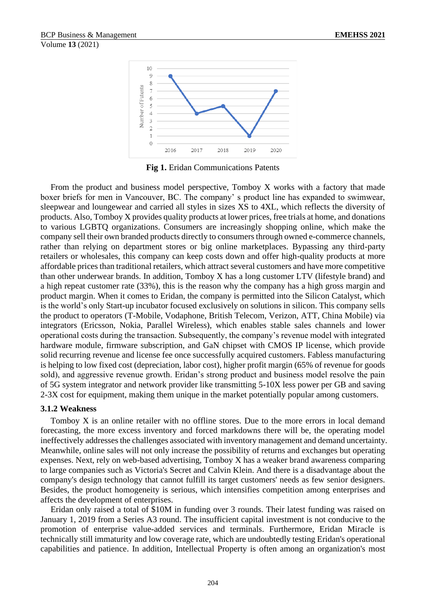

**Fig 1.** Eridan Communications Patents

From the product and business model perspective, Tomboy X works with a factory that made boxer briefs for men in Vancouver, BC. The company' s product line has expanded to swimwear, sleepwear and loungewear and carried all styles in sizes XS to 4XL, which reflects the diversity of products. Also, Tomboy X provides quality products at lower prices, free trials at home, and donations to various LGBTQ organizations. Consumers are increasingly shopping online, which make the company sell their own branded products directly to consumers through owned e-commerce channels, rather than relying on department stores or big online marketplaces. Bypassing any third-party retailers or wholesales, this company can keep costs down and offer high-quality products at more affordable prices than traditional retailers, which attract several customers and have more competitive than other underwear brands. In addition, Tomboy X has a long customer LTV (lifestyle brand) and a high repeat customer rate (33%), this is the reason why the company has a high gross margin and product margin. When it comes to Eridan, the company is permitted into the Silicon Catalyst, which is the world's only Start-up incubator focused exclusively on solutions in silicon. This company sells the product to operators (T-Mobile, Vodaphone, British Telecom, Verizon, ATT, China Mobile) via integrators (Ericsson, Nokia, Parallel Wireless), which enables stable sales channels and lower operational costs during the transaction. Subsequently, the company's revenue model with integrated hardware module, firmware subscription, and GaN chipset with CMOS IP license, which provide solid recurring revenue and license fee once successfully acquired customers. Fabless manufacturing is helping to low fixed cost (depreciation, labor cost), higher profit margin (65% of revenue for goods sold), and aggressive revenue growth. Eridan's strong product and business model resolve the pain of 5G system integrator and network provider like transmitting 5-10X less power per GB and saving 2-3X cost for equipment, making them unique in the market potentially popular among customers.

#### **3.1.2 Weakness**

Tomboy X is an online retailer with no offline stores. Due to the more errors in local demand forecasting, the more excess inventory and forced markdowns there will be, the operating model ineffectively addresses the challenges associated with inventory management and demand uncertainty. Meanwhile, online sales will not only increase the possibility of returns and exchanges but operating expenses. Next, rely on web-based advertising, Tomboy X has a weaker brand awareness comparing to large companies such as Victoria's Secret and Calvin Klein. And there is a disadvantage about the company's design technology that cannot fulfill its target customers' needs as few senior designers. Besides, the product homogeneity is serious, which intensifies competition among enterprises and affects the development of enterprises.

Eridan only raised a total of \$10M in funding over 3 rounds. Their latest funding was raised on January 1, 2019 from a Series A3 round. The insufficient capital investment is not conducive to the promotion of enterprise value-added services and terminals. Furthermore, Eridan Miracle is technically still immaturity and low coverage rate, which are undoubtedly testing Eridan's operational capabilities and patience. In addition, Intellectual Property is often among an organization's most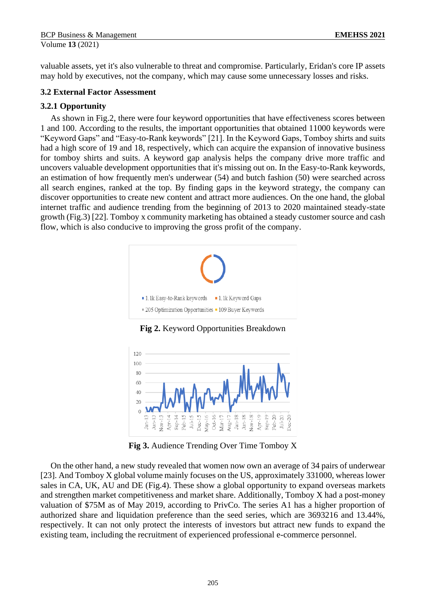valuable assets, yet it's also vulnerable to threat and compromise. Particularly, Eridan's core IP assets may hold by executives, not the company, which may cause some unnecessary losses and risks.

### **3.2 External Factor Assessment**

### **3.2.1 Opportunity**

As shown in Fig.2, there were four keyword opportunities that have effectiveness scores between 1 and 100. According to the results, the important opportunities that obtained 11000 keywords were "Keyword Gaps" and "Easy-to-Rank keywords" [21]. In the Keyword Gaps, Tomboy shirts and suits had a high score of 19 and 18, respectively, which can acquire the expansion of innovative business for tomboy shirts and suits. A keyword gap analysis helps the company drive more traffic and uncovers valuable development opportunities that it's missing out on. In the Easy-to-Rank keywords, an estimation of how frequently men's underwear (54) and butch fashion (50) were searched across all search engines, ranked at the top. By finding gaps in the keyword strategy, the company can discover opportunities to create new content and attract more audiences. On the one hand, the global internet traffic and audience trending from the beginning of 2013 to 2020 maintained steady-state growth (Fig.3) [22]. Tomboy x community marketing has obtained a steady customer source and cash flow, which is also conducive to improving the gross profit of the company.



**Fig 2.** Keyword Opportunities Breakdown



**Fig 3.** Audience Trending Over Time Tomboy X

On the other hand, a new study revealed that women now own an average of 34 pairs of underwear [23]. And Tomboy X global volume mainly focuses on the US, approximately 331000, whereas lower sales in CA, UK, AU and DE (Fig.4). These show a global opportunity to expand overseas markets and strengthen market competitiveness and market share. Additionally, Tomboy X had a post-money valuation of \$75M as of May 2019, according to PrivCo. The series A1 has a higher proportion of authorized share and liquidation preference than the seed series, which are 3693216 and 13.44%, respectively. It can not only protect the interests of investors but attract new funds to expand the existing team, including the recruitment of experienced professional e-commerce personnel.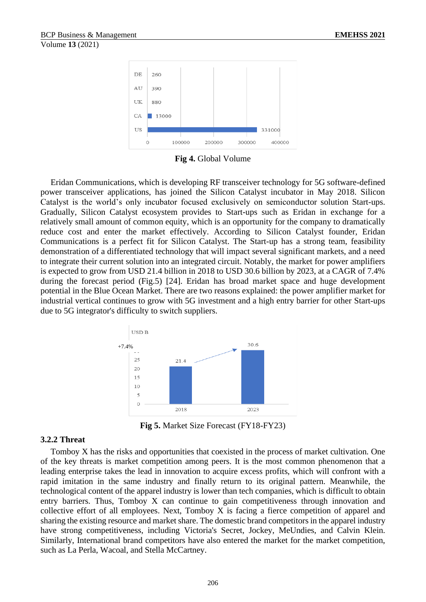

**Fig 4.** Global Volume

Eridan Communications, which is developing RF transceiver technology for 5G software-defined power transceiver applications, has joined the Silicon Catalyst incubator in May 2018. Silicon Catalyst is the world's only incubator focused exclusively on semiconductor solution Start-ups. Gradually, Silicon Catalyst ecosystem provides to Start-ups such as Eridan in exchange for a relatively small amount of common equity, which is an opportunity for the company to dramatically reduce cost and enter the market effectively. According to Silicon Catalyst founder, Eridan Communications is a perfect fit for Silicon Catalyst. The Start-up has a strong team, feasibility demonstration of a differentiated technology that will impact several significant markets, and a need to integrate their current solution into an integrated circuit. Notably, the market for power amplifiers is expected to grow from USD 21.4 billion in 2018 to USD 30.6 billion by 2023, at a CAGR of 7.4% during the forecast period (Fig.5) [24]. Eridan has broad market space and huge development potential in the Blue Ocean Market. There are two reasons explained: the power amplifier market for industrial vertical continues to grow with 5G investment and a high entry barrier for other Start-ups due to 5G integrator's difficulty to switch suppliers.



**Fig 5.** Market Size Forecast (FY18-FY23)

#### **3.2.2 Threat**

Tomboy X has the risks and opportunities that coexisted in the process of market cultivation. One of the key threats is market competition among peers. It is the most common phenomenon that a leading enterprise takes the lead in innovation to acquire excess profits, which will confront with a rapid imitation in the same industry and finally return to its original pattern. Meanwhile, the technological content of the apparel industry is lower than tech companies, which is difficult to obtain entry barriers. Thus, Tomboy X can continue to gain competitiveness through innovation and collective effort of all employees. Next, Tomboy X is facing a fierce competition of apparel and sharing the existing resource and market share. The domestic brand competitors in the apparel industry have strong competitiveness, including Victoria's Secret, Jockey, MeUndies, and Calvin Klein. Similarly, International brand competitors have also entered the market for the market competition, such as La Perla, Wacoal, and Stella McCartney.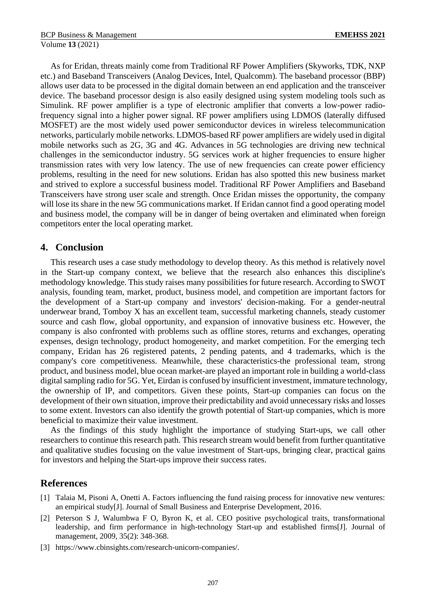As for Eridan, threats mainly come from Traditional RF Power Amplifiers (Skyworks, TDK, NXP etc.) and Baseband Transceivers (Analog Devices, Intel, Qualcomm). The baseband processor (BBP) allows user data to be processed in the digital domain between an end application and the transceiver device. The baseband processor design is also easily designed using system modeling tools such as Simulink. RF power amplifier is a type of electronic amplifier that converts a low-power radiofrequency signal into a higher power signal. RF power amplifiers using LDMOS (laterally diffused MOSFET) are the most widely used power semiconductor devices in wireless telecommunication networks, particularly mobile networks. LDMOS-based RF power amplifiers are widely used in digital mobile networks such as 2G, 3G and 4G. Advances in 5G technologies are driving new technical challenges in the semiconductor industry. 5G services work at higher frequencies to ensure higher transmission rates with very low latency. The use of new frequencies can create power efficiency problems, resulting in the need for new solutions. Eridan has also spotted this new business market and strived to explore a successful business model. Traditional RF Power Amplifiers and Baseband Transceivers have strong user scale and strength. Once Eridan misses the opportunity, the company will lose its share in the new 5G communications market. If Eridan cannot find a good operating model and business model, the company will be in danger of being overtaken and eliminated when foreign competitors enter the local operating market.

#### **4. Conclusion**

This research uses a case study methodology to develop theory. As this method is relatively novel in the Start-up company context, we believe that the research also enhances this discipline's methodology knowledge. This study raises many possibilities for future research. According to SWOT analysis, founding team, market, product, business model, and competition are important factors for the development of a Start-up company and investors' decision-making. For a gender-neutral underwear brand, Tomboy X has an excellent team, successful marketing channels, steady customer source and cash flow, global opportunity, and expansion of innovative business etc. However, the company is also confronted with problems such as offline stores, returns and exchanges, operating expenses, design technology, product homogeneity, and market competition. For the emerging tech company, Eridan has 26 registered patents, 2 pending patents, and 4 trademarks, which is the company's core competitiveness. Meanwhile, these characteristics-the professional team, strong product, and business model, blue ocean market-are played an important role in building a world-class digital sampling radio for 5G. Yet, Eirdan is confused by insufficient investment, immature technology, the ownership of IP, and competitors. Given these points, Start-up companies can focus on the development of their own situation, improve their predictability and avoid unnecessary risks and losses to some extent. Investors can also identify the growth potential of Start-up companies, which is more beneficial to maximize their value investment.

As the findings of this study highlight the importance of studying Start-ups, we call other researchers to continue this research path. This research stream would benefit from further quantitative and qualitative studies focusing on the value investment of Start-ups, bringing clear, practical gains for investors and helping the Start-ups improve their success rates.

### **References**

- [1] Talaia M, Pisoni A, Onetti A. Factors influencing the fund raising process for innovative new ventures: an empirical study[J]. Journal of Small Business and Enterprise Development, 2016.
- [2] Peterson S J, Walumbwa F O, Byron K, et al. CEO positive psychological traits, transformational leadership, and firm performance in high-technology Start-up and established firms[J]. Journal of management, 2009, 35(2): 348-368.
- [3] https://www.cbinsights.com/research-unicorn-companies/.